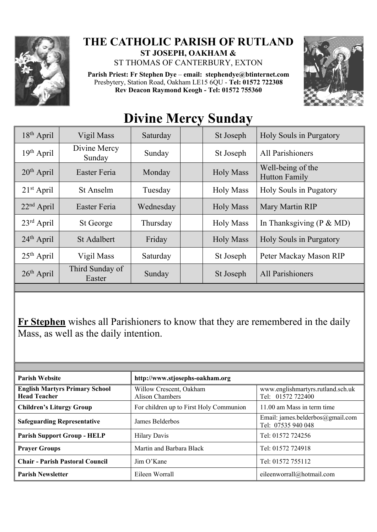

## **THE CATHOLIC PARISH OF RUTLAND ST JOSEPH, OAKHAM &**

ST THOMAS OF CANTERBURY, EXTON

**Parish Priest: Fr Stephen Dye** – **[email: stephendye@btinternet.com](mailto:email:%20%20stephendye@btinternet.com)** Presbytery, Station Road, Oakham LE15 6QU - **Tel: 01572 722308 Rev Deacon Raymond Keogh - Tel: 01572 755360**



| 18 <sup>th</sup> April | Vigil Mass                | Saturday  |  | St Joseph        | Holy Souls in Purgatory                   |  |
|------------------------|---------------------------|-----------|--|------------------|-------------------------------------------|--|
| $19th$ April           | Divine Mercy<br>Sunday    | Sunday    |  | St Joseph        | All Parishioners                          |  |
| $20th$ April           | Easter Feria              | Monday    |  | <b>Holy Mass</b> | Well-being of the<br><b>Hutton Family</b> |  |
| $21st$ April           | St Anselm                 | Tuesday   |  | <b>Holy Mass</b> | <b>Holy Souls in Pugatory</b>             |  |
| $22nd$ April           | Easter Feria              | Wednesday |  | <b>Holy Mass</b> | Mary Martin RIP                           |  |
| $23rd$ April           | St George                 | Thursday  |  | <b>Holy Mass</b> | In Thanksgiving ( $P \& M D$ )            |  |
| $24th$ April           | <b>St Adalbert</b>        | Friday    |  | <b>Holy Mass</b> | Holy Souls in Purgatory                   |  |
| $25th$ April           | Vigil Mass                | Saturday  |  | St Joseph        | Peter Mackay Mason RIP                    |  |
| $26th$ April           | Third Sunday of<br>Easter | Sunday    |  | St Joseph        | All Parishioners                          |  |
|                        |                           |           |  |                  |                                           |  |

## **Divine Mercy Sunday**

**Fr Stephen** wishes all Parishioners to know that they are remembered in the daily Mass, as well as the daily intention.

| <b>Parish Website</b>                                        | http://www.stjosephs-oakham.org            |                                                        |  |  |
|--------------------------------------------------------------|--------------------------------------------|--------------------------------------------------------|--|--|
| <b>English Martyrs Primary School</b><br><b>Head Teacher</b> | Willow Crescent, Oakham<br>Alison Chambers | www.englishmartyrs.rutland.sch.uk<br>Tel: 01572 722400 |  |  |
| <b>Children's Liturgy Group</b>                              | For children up to First Holy Communion    | 11.00 am Mass in term time                             |  |  |
| <b>Safeguarding Representative</b>                           | James Belderbos                            | Email: james.belderbos@gmail.com<br>Tel: 07535 940 048 |  |  |
| <b>Parish Support Group - HELP</b>                           | <b>Hilary Davis</b>                        | Tel: 01572 724256                                      |  |  |
| <b>Prayer Groups</b>                                         | Martin and Barbara Black                   | Tel: 01572 724918                                      |  |  |
| <b>Chair - Parish Pastoral Council</b>                       | Jim O'Kane                                 | Tel: 01572 755112                                      |  |  |
| <b>Parish Newsletter</b>                                     | Eileen Worrall                             | eileenworrall@hotmail.com                              |  |  |